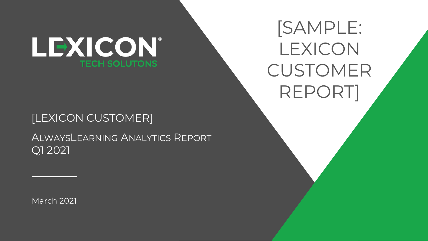

## [LEXICON CUSTOMER]

ALWAYSLEARNING ANALYTICS REPORT Q1 2021

March 2021

[SAMPLE: LEXICON CUSTOMER REPORT]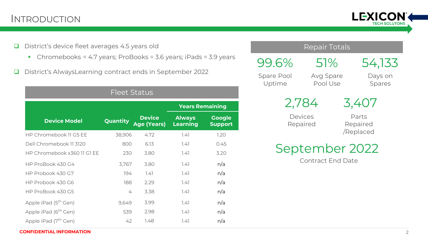### INTRODUCTION



- ❑ District's device fleet averages 4.5 years old
	- Chromebooks = 4.7 years; ProBooks = 3.6 years; iPads = 3.9 years
- ❑ District's AlwaysLearning contract ends in September 2022

| <b>Fleet Status</b>              |                 |                                     |                                  |                                 |
|----------------------------------|-----------------|-------------------------------------|----------------------------------|---------------------------------|
|                                  |                 |                                     | <b>Years Remaining</b>           |                                 |
| <b>Device Model</b>              | <b>Quantity</b> | <b>Device</b><br><b>Age (Years)</b> | <b>Always</b><br><b>Learning</b> | <b>Google</b><br><b>Support</b> |
| HP Chromebook 11 G5 EE           | 38,906          | 4.72                                | 7.47                             | 1.20                            |
| Dell Chromebook 11 3120          | 800             | 6.13                                | 7.47                             | 0.45                            |
| HP Chromebook x360 11 G1 EE      | 230             | 3.80                                | 1.41                             | 3.20                            |
| HP ProBook 430 G4                | 3,767           | 3.80                                | 7.47                             | n/a                             |
| HP Probook 430 G7                | 194             | 7.47                                | 1.41                             | n/a                             |
| HP Probook 430 G6                | 188             | 2.29                                | 7.47                             | n/a                             |
| HP ProBook 430 G5                | 4               | 3.38                                | 7.47                             | n/a                             |
| Apple iPad (5 <sup>th</sup> Gen) | 9,649           | 3.99                                | 7.47                             | n/a                             |
| Apple iPad (6 <sup>th</sup> Gen) | 539             | 2.98                                | 7.47                             | n/a                             |
| Apple iPad (7 <sup>th</sup> Gen) | 42              | 1.48                                | 7.47                             | n/a                             |

#### Repair Totals

51%

99.6% Spare Pool Uptime

Avg Spare Pool Use

Days on Spares

54,133

2,784

3,407

Devices Repaired

Parts Repaired /Replaced

September 2022

Contract End Date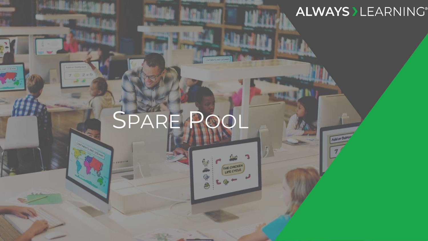## **ALWAYS > LEARNING®**

Add or Sub

# SPARE POOL

THE CHICKEN

Ģ

SLIDE TITLE GOES HERE TITLE GOES HERE TITLE GOES HERE TITLE GOES HERE TITLE GOES HERE TITLE GOES HERE TITLE GO

.......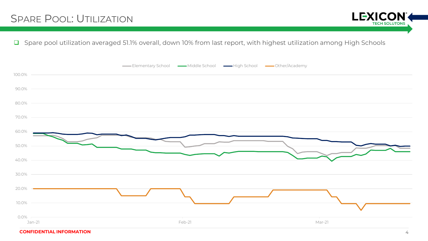**LEXICO TECH SOLUTONS** 

❑ Spare pool utilization averaged 51.1% overall, down 10% from last report, with highest utilization among High Schools



**CONFIDENTIAL INFORMATION** 4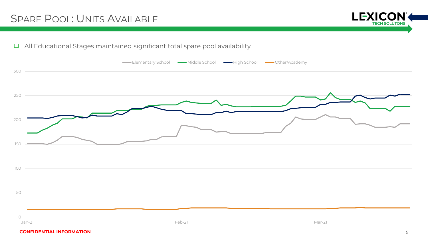## SPARE POOL: UNITS AVAILABLE



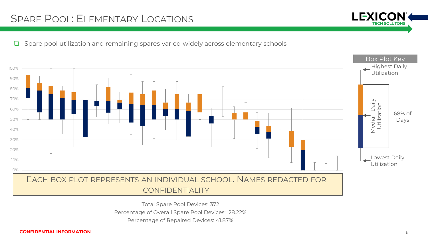## SPARE POOL: ELEMENTARY LOCATIONS



❑ Spare pool utilization and remaining spares varied widely across elementary schools



Total Spare Pool Devices: 372 Percentage of Overall Spare Pool Devices: 28.22%

Percentage of Repaired Devices: 41.87%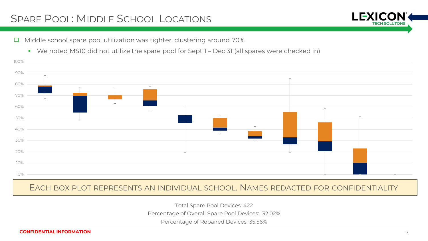## SPARE POOL: MIDDLE SCHOOL LOCATIONS



■ We noted MS10 did not utilize the spare pool for Sept 1 – Dec 31 (all spares were checked in)



EACH BOX PLOT REPRESENTS AN INDIVIDUAL SCHOOL. NAMES REDACTED FOR CONFIDENTIALITY

Total Spare Pool Devices: 422

Percentage of Overall Spare Pool Devices: 32.02%

Percentage of Repaired Devices: 35.56%

100%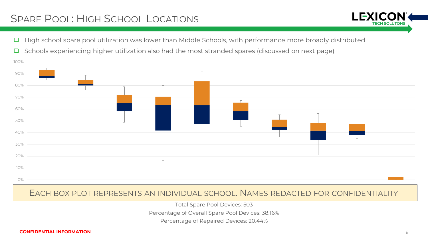## SPARE POOL: HIGH SCHOOL LOCATIONS

❑ High school spare pool utilization was lower than Middle Schools, with performance more broadly distributed



❑ Schools experiencing higher utilization also had the most stranded spares (discussed on next page)

#### EACH BOX PLOT REPRESENTS AN INDIVIDUAL SCHOOL. NAMES REDACTED FOR CONFIDENTIALITY

Total Spare Pool Devices: 503

Percentage of Overall Spare Pool Devices: 38.16%

Percentage of Repaired Devices: 20.44%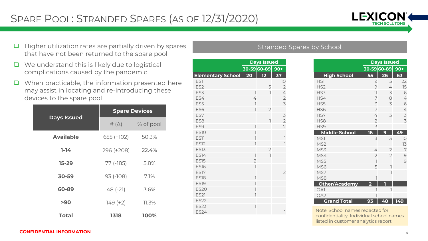

- ❑ Higher utilization rates are partially driven by spares that have not been returned to the spare pool
- ❑ We understand this is likely due to logistical complications caused by the pandemic
- ❑ When practicable, the information presented here may assist in locating and re-introducing these devices to the spare pool

|                    | <b>Spare Devices</b> |           |  |  |
|--------------------|----------------------|-----------|--|--|
| <b>Days Issued</b> | $\#(\triangle)$      | % of pool |  |  |
| <b>Available</b>   | $655 (+102)$         | 50.3%     |  |  |
| $1-14$             | 296 (+208)           | 22.4%     |  |  |
| $15 - 29$          | $77$ ( $-185$ )      | 5.8%      |  |  |
| 30-59              | $93$ ( $-108$ )      | 7.1%      |  |  |
| 60-89              | $48(-21)$            | 3.6%      |  |  |
| >90                | $149 (+2)$           | 11.3%     |  |  |
| <b>Total</b>       | 1318                 | 100%      |  |  |

|                          | <b>Days Issued</b>       |                |                                        |
|--------------------------|--------------------------|----------------|----------------------------------------|
|                          |                          | 30-59 60-89    | $90+$                                  |
| <b>Elementary School</b> | 20                       | 12             | 37                                     |
| ES1                      |                          |                | 10                                     |
| ES <sub>2</sub>          |                          | 5              | $\overline{2}$                         |
| ES3                      | 1                        | ı              | 4                                      |
| ES4                      | 4                        |                | $\overline{2}$                         |
| ES5                      | $\overline{1}$           |                | 3                                      |
| ES <sub>6</sub>          | $\overline{1}$           | $\overline{2}$ | $\begin{array}{c} \square \end{array}$ |
| ES7                      |                          |                | 3                                      |
| ES <sub>8</sub>          |                          | 1              | $\overline{2}$                         |
| ES9                      | $\overline{1}$           |                | $\overline{2}$                         |
| <b>ES10</b>              | 1                        |                | $\overline{1}$                         |
| ES11                     | Ī                        |                | $\overline{1}$                         |
| <b>ES12</b>              | Ī                        |                |                                        |
| <b>ES13</b>              |                          | $\overline{2}$ |                                        |
| <b>ES14</b>              | 1                        | $\overline{1}$ |                                        |
| <b>ES15</b>              | $\overline{2}$           |                |                                        |
| <b>ES16</b>              | $\overline{\phantom{a}}$ |                | $\overline{1}$                         |
| <b>ES17</b>              |                          |                | 2                                      |
| <b>ES18</b>              | 1                        |                |                                        |
| <b>ES19</b>              | $\overline{1}$           |                |                                        |
| <b>ES20</b>              | 1                        |                |                                        |
| <b>ES21</b>              | Ī                        |                |                                        |
| <b>ES22</b>              |                          |                |                                        |
| <b>ES23</b>              | 1                        |                |                                        |
| <b>ES24</b>              |                          |                | ı                                      |

#### Stranded Spares by School

|                      | <b>Days Issued</b>       |                |       |
|----------------------|--------------------------|----------------|-------|
|                      |                          | 30-59 60-89    | $90+$ |
| <b>High School</b>   | 55                       | 26             | 63    |
| HS <sub>1</sub>      | 9                        | 5              | 22    |
| HS <sub>2</sub>      | 9                        | 4              | 15    |
| HS3                  | 11                       | 3              | 6     |
| HS4                  | 7                        | 8              | 4     |
| HS5                  | 3                        | 3              | 6     |
| HS6                  | 7                        |                | 4     |
| HS7                  | 4                        | 3              | 3     |
| HS8                  | $\overline{2}$           |                | 3     |
| HS9                  | 3                        |                |       |
| <b>Middle School</b> | 16                       | 9              | 49    |
| MS <sub>1</sub>      | 3                        | 3              | 10    |
| MS <sub>2</sub>      |                          |                | 13    |
| MS3                  | 4                        | 2              | 7     |
| MS4                  | $\overline{2}$           | $\overline{2}$ | 9     |
| MS5                  | $\overline{\phantom{a}}$ |                | 9     |
| MS6                  | 5                        | Ī              |       |
| MS7                  |                          | ı              | ı     |
| MS8                  | 1                        |                |       |
| Other/Academy        | $\overline{2}$           | П              |       |
| OA1                  | $\overline{\phantom{a}}$ | 1              |       |
| OA <sub>2</sub>      | Ī                        |                |       |
| <b>Grand Total</b>   | 93                       | 48             | 149   |

Note: School names redacted for confidentiality. Individual school names listed in customer analytics report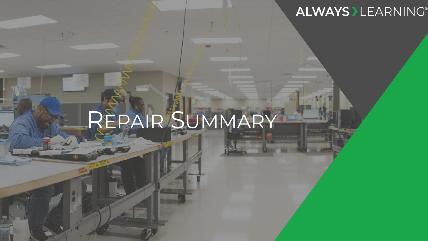## **ALWAYS > LEARNING®**

# REPAIR SUMMARY

 $\frac{1}{\sqrt{2}}$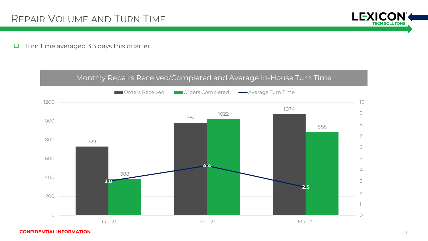#### ❑ Turn time averaged 3.3 days this quarter

#### Monthly Repairs Received/Completed and Average In-House Turn Time



**LEXICON** 

**TECH SOLUTONS**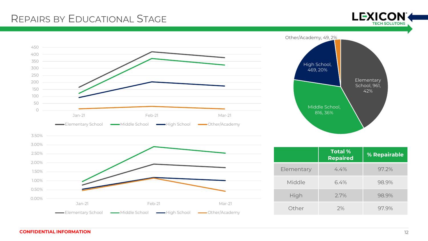## REPAIRS BY EDUCATIONAL STAGE



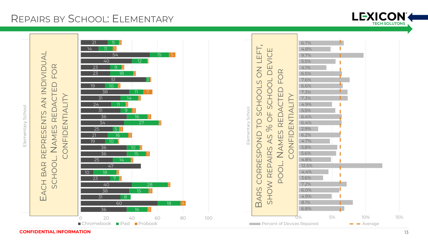## REPAIRS BY SCHOOL: ELEMENTARY



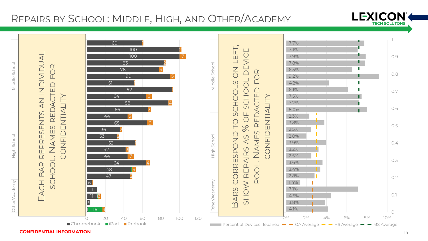## REPAIRS BY SCHOOL: MIDDLE, HIGH, AND OTHER/ACADEMY



**CONFIDENTIAL INFORMATION** 14

LEXICON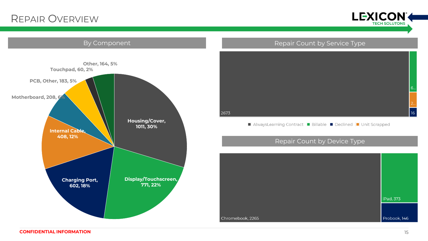## REPAIR OVERVIEW



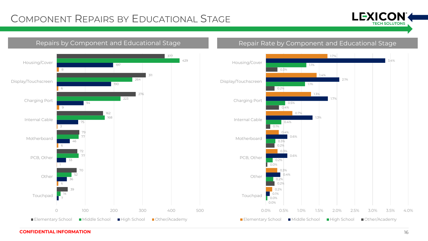## COMPONENT REPAIRS BY EDUCATIONAL STAGE





#### Repairs by Component and Educational Stage Repair Rate by Component and Educational Stage

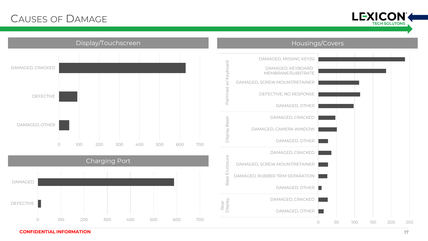## CAUSES OF DAMAGE





Charging Port 0 100 200 300 400 500 600 700 DEFECTIVE DAMAGED

Display/Touchscreen **Housings/Covers Housings/Covers** 

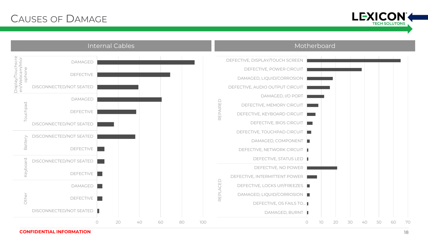## CAUSES OF DAMAGE





**CONFIDENTIAL INFORMATION** 18